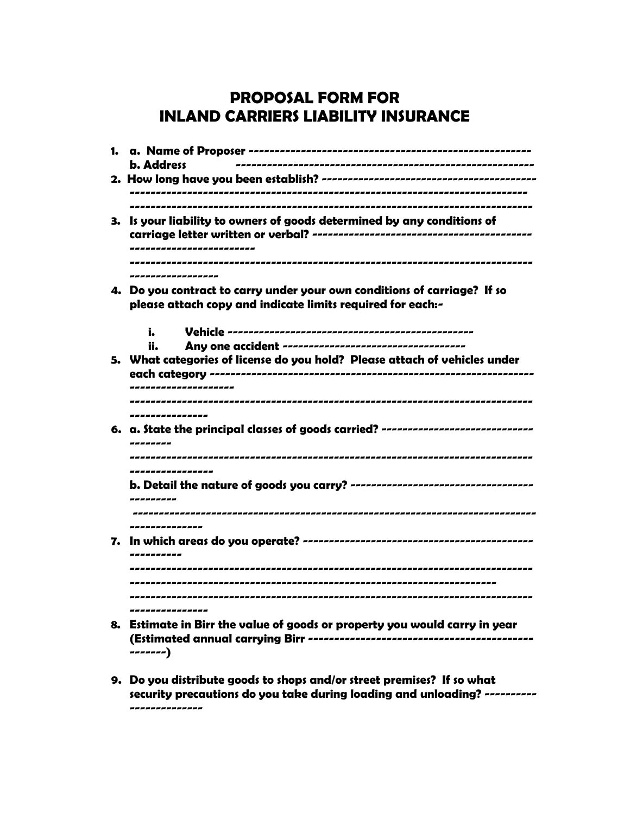## **PROPOSAL FORM FOR INLAND CARRIERS LIABILITY INSURANCE**

| <b>b.</b> Address                                                                                                                                            |
|--------------------------------------------------------------------------------------------------------------------------------------------------------------|
|                                                                                                                                                              |
| 3. Is your liability to owners of goods determined by any conditions of                                                                                      |
| ------------------<br>4. Do you contract to carry under your own conditions of carriage? If so<br>please attach copy and indicate limits required for each:- |
| i.<br>ii.<br>5. What categories of license do you hold? Please attach of vehicles under<br>---------------                                                   |
| ----------------<br>6. a. State the principal classes of goods carried? -----------------------------                                                        |
| ----------------<br>---------------                                                                                                                          |
| ---------                                                                                                                                                    |
| ----------------                                                                                                                                             |

**9. Do you distribute goods to shops and/or street premises? If so what security precautions do you take during loading and unloading? ---------- --------------**